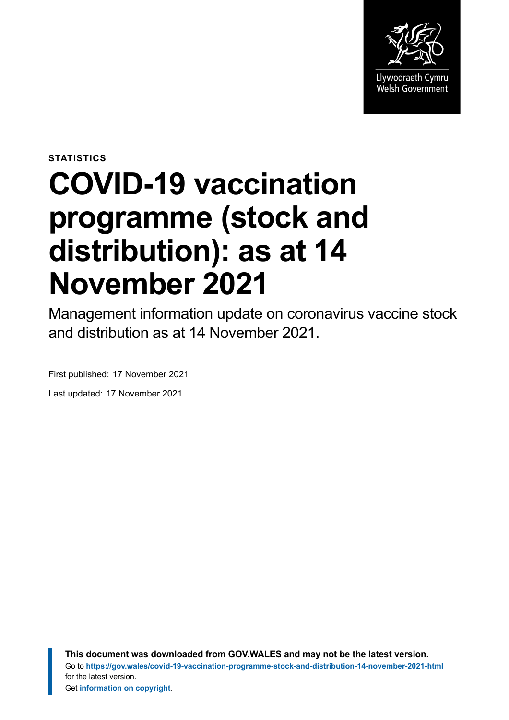

**STATISTICS**

# **COVID-19 vaccination programme (stock and distribution): as at 14 November 2021**

Management information update on coronavirus vaccine stock and distribution as at 14 November 2021.

First published: 17 November 2021

Last updated: 17 November 2021

**This document was downloaded from GOV.WALES and may not be the latest version.** Go to **<https://gov.wales/covid-19-vaccination-programme-stock-and-distribution-14-november-2021-html>** for the latest version. Get **[information on copyright](https://gov.wales/copyright-statement)**.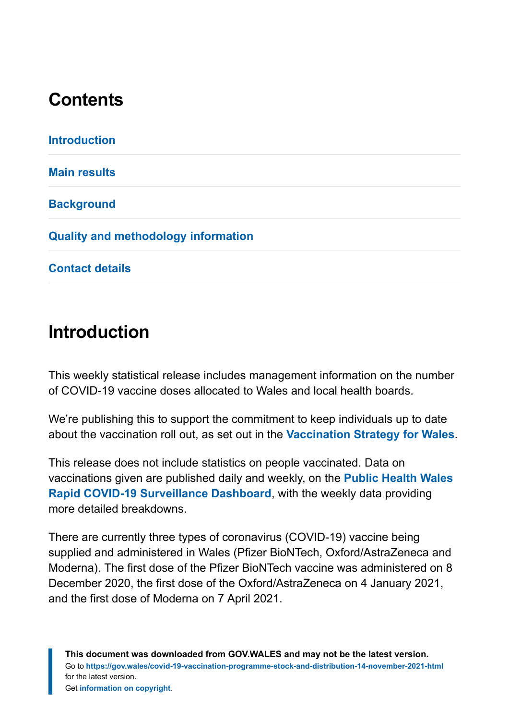## **Contents**

| <b>Introduction</b>                        |  |
|--------------------------------------------|--|
| <b>Main results</b>                        |  |
| <b>Background</b>                          |  |
| <b>Quality and methodology information</b> |  |
| <b>Contact details</b>                     |  |

#### <span id="page-1-0"></span>**Introduction**

This weekly statistical release includes management information on the number of COVID-19 vaccine doses allocated to Wales and local health boards.

We're publishing this to support the commitment to keep individuals up to date about the vaccination roll out, as set out in the **[Vaccination Strategy for Wales](https://gov.wales/covid-19-vaccination-strategy)**.

This release does not include statistics on people vaccinated. Data on vaccinations given are published daily and weekly, on the **[Public Health Wales](https://public.tableau.com/profile/public.health.wales.health.protection#!/vizhome/RapidCOVID-19virology-Public/Headlinesummary) [Rapid COVID-19 Surveillance Dashboard](https://public.tableau.com/profile/public.health.wales.health.protection#!/vizhome/RapidCOVID-19virology-Public/Headlinesummary)**, with the weekly data providing more detailed breakdowns.

There are currently three types of coronavirus (COVID-19) vaccine being supplied and administered in Wales (Pfizer BioNTech, Oxford/AstraZeneca and Moderna). The first dose of the Pfizer BioNTech vaccine was administered on 8 December 2020, the first dose of the Oxford/AstraZeneca on 4 January 2021, and the first dose of Moderna on 7 April 2021.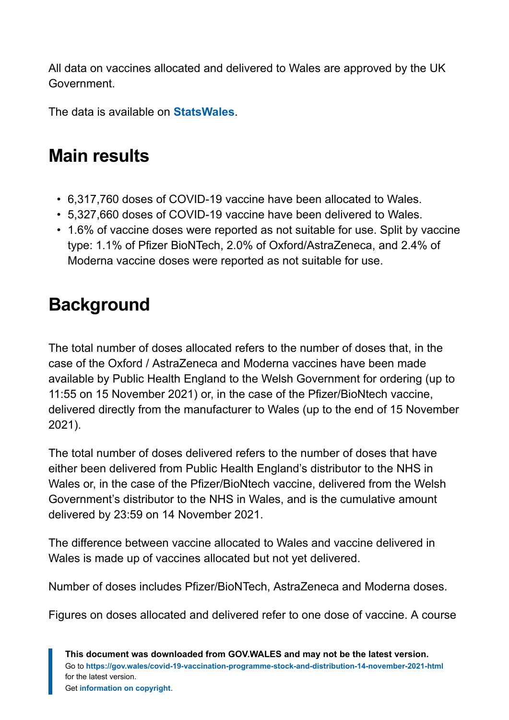All data on vaccines allocated and delivered to Wales are approved by the UK Government.

The data is available on **[StatsWales](https://statswales.gov.wales/Catalogue/Health-and-Social-Care/coronavirus-covid-19/covid-19-vaccination-programme-stock-and-distribution)**.

# <span id="page-2-0"></span>**Main results**

- 6,317,760 doses of COVID-19 vaccine have been allocated to Wales.
- 5,327,660 doses of COVID-19 vaccine have been delivered to Wales.
- 1.6% of vaccine doses were reported as not suitable for use. Split by vaccine type: 1.1% of Pfizer BioNTech, 2.0% of Oxford/AstraZeneca, and 2.4% of Moderna vaccine doses were reported as not suitable for use.

# <span id="page-2-1"></span>**Background**

The total number of doses allocated refers to the number of doses that, in the case of the Oxford / AstraZeneca and Moderna vaccines have been made available by Public Health England to the Welsh Government for ordering (up to 11:55 on 15 November 2021) or, in the case of the Pfizer/BioNtech vaccine, delivered directly from the manufacturer to Wales (up to the end of 15 November 2021).

The total number of doses delivered refers to the number of doses that have either been delivered from Public Health England's distributor to the NHS in Wales or, in the case of the Pfizer/BioNtech vaccine, delivered from the Welsh Government's distributor to the NHS in Wales, and is the cumulative amount delivered by 23:59 on 14 November 2021.

The difference between vaccine allocated to Wales and vaccine delivered in Wales is made up of vaccines allocated but not yet delivered.

Number of doses includes Pfizer/BioNTech, AstraZeneca and Moderna doses.

Figures on doses allocated and delivered refer to one dose of vaccine. A course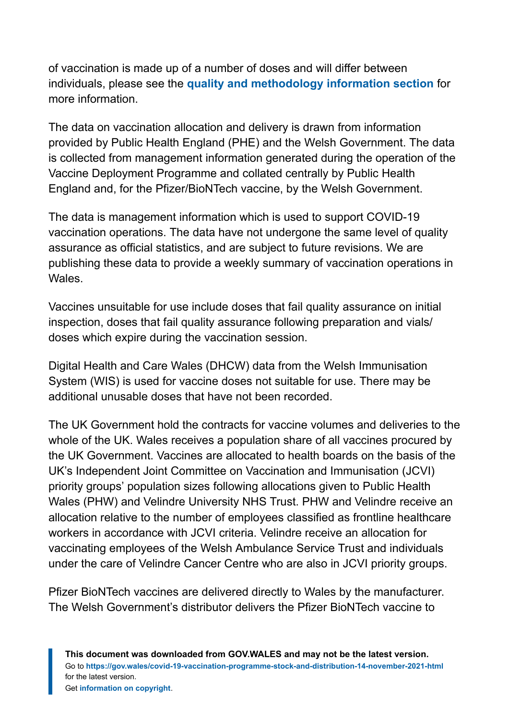of vaccination is made up of a number of doses and will differ between individuals, please see the **[quality and methodology information section](#page-4-0)** for more information.

The data on vaccination allocation and delivery is drawn from information provided by Public Health England (PHE) and the Welsh Government. The data is collected from management information generated during the operation of the Vaccine Deployment Programme and collated centrally by Public Health England and, for the Pfizer/BioNTech vaccine, by the Welsh Government.

The data is management information which is used to support COVID-19 vaccination operations. The data have not undergone the same level of quality assurance as official statistics, and are subject to future revisions. We are publishing these data to provide a weekly summary of vaccination operations in Wales.

Vaccines unsuitable for use include doses that fail quality assurance on initial inspection, doses that fail quality assurance following preparation and vials/ doses which expire during the vaccination session.

Digital Health and Care Wales (DHCW) data from the Welsh Immunisation System (WIS) is used for vaccine doses not suitable for use. There may be additional unusable doses that have not been recorded.

The UK Government hold the contracts for vaccine volumes and deliveries to the whole of the UK. Wales receives a population share of all vaccines procured by the UK Government. Vaccines are allocated to health boards on the basis of the UK's Independent Joint Committee on Vaccination and Immunisation (JCVI) priority groups' population sizes following allocations given to Public Health Wales (PHW) and Velindre University NHS Trust. PHW and Velindre receive an allocation relative to the number of employees classified as frontline healthcare workers in accordance with JCVI criteria. Velindre receive an allocation for vaccinating employees of the Welsh Ambulance Service Trust and individuals under the care of Velindre Cancer Centre who are also in JCVI priority groups.

Pfizer BioNTech vaccines are delivered directly to Wales by the manufacturer. The Welsh Government's distributor delivers the Pfizer BioNTech vaccine to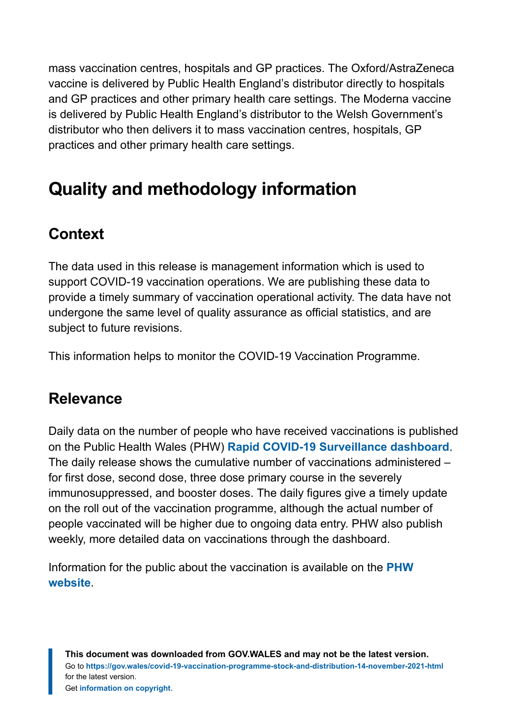mass vaccination centres, hospitals and GP practices. The Oxford/AstraZeneca vaccine is delivered by Public Health England's distributor directly to hospitals and GP practices and other primary health care settings. The Moderna vaccine is delivered by Public Health England's distributor to the Welsh Government's distributor who then delivers it to mass vaccination centres, hospitals, GP practices and other primary health care settings.

# <span id="page-4-0"></span>**Quality and methodology information**

#### **Context**

The data used in this release is management information which is used to support COVID-19 vaccination operations. We are publishing these data to provide a timely summary of vaccination operational activity. The data have not undergone the same level of quality assurance as official statistics, and are subject to future revisions.

This information helps to monitor the COVID-19 Vaccination Programme.

#### **Relevance**

Daily data on the number of people who have received vaccinations is published on the Public Health Wales (PHW) **[Rapid COVID-19 Surveillance dashboard](https://public.tableau.com/profile/public.health.wales.health.protection#!/vizhome/RapidCOVID-19virology-Public/Headlinesummary)**. The daily release shows the cumulative number of vaccinations administered – for first dose, second dose, three dose primary course in the severely immunosuppressed, and booster doses. The daily figures give a timely update on the roll out of the vaccination programme, although the actual number of people vaccinated will be higher due to ongoing data entry. PHW also publish weekly, more detailed data on vaccinations through the dashboard.

Information for the public about the vaccination is available on the **[PHW](https://phw.nhs.wales/topics/immunisation-and-vaccines/covid-19-vaccination-information/) [website](https://phw.nhs.wales/topics/immunisation-and-vaccines/covid-19-vaccination-information/)**.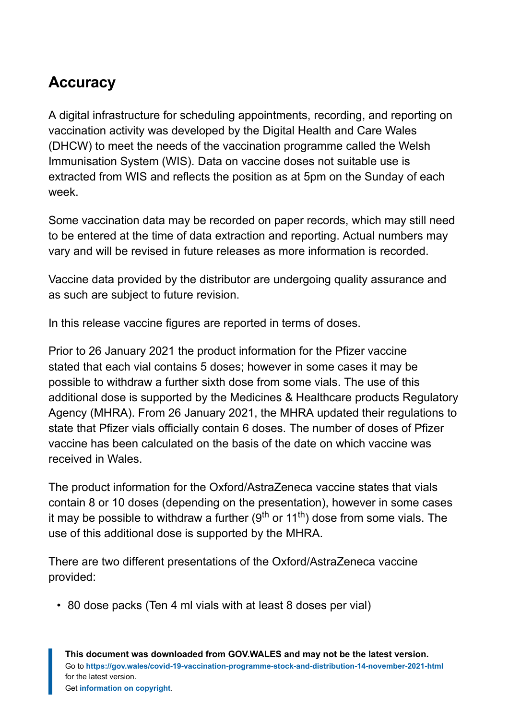#### **Accuracy**

A digital infrastructure for scheduling appointments, recording, and reporting on vaccination activity was developed by the Digital Health and Care Wales (DHCW) to meet the needs of the vaccination programme called the Welsh Immunisation System (WIS). Data on vaccine doses not suitable use is extracted from WIS and reflects the position as at 5pm on the Sunday of each week.

Some vaccination data may be recorded on paper records, which may still need to be entered at the time of data extraction and reporting. Actual numbers may vary and will be revised in future releases as more information is recorded.

Vaccine data provided by the distributor are undergoing quality assurance and as such are subject to future revision.

In this release vaccine figures are reported in terms of doses.

Prior to 26 January 2021 the product information for the Pfizer vaccine stated that each vial contains 5 doses; however in some cases it may be possible to withdraw a further sixth dose from some vials. The use of this additional dose is supported by the Medicines & Healthcare products Regulatory Agency (MHRA). From 26 January 2021, the MHRA updated their regulations to state that Pfizer vials officially contain 6 doses. The number of doses of Pfizer vaccine has been calculated on the basis of the date on which vaccine was received in Wales.

The product information for the Oxford/AstraZeneca vaccine states that vials contain 8 or 10 doses (depending on the presentation), however in some cases it may be possible to withdraw a further (9<sup>th</sup> or 11<sup>th</sup>) dose from some vials. The use of this additional dose is supported by the MHRA.

There are two different presentations of the Oxford/AstraZeneca vaccine provided:

• 80 dose packs (Ten 4 ml vials with at least 8 doses per vial)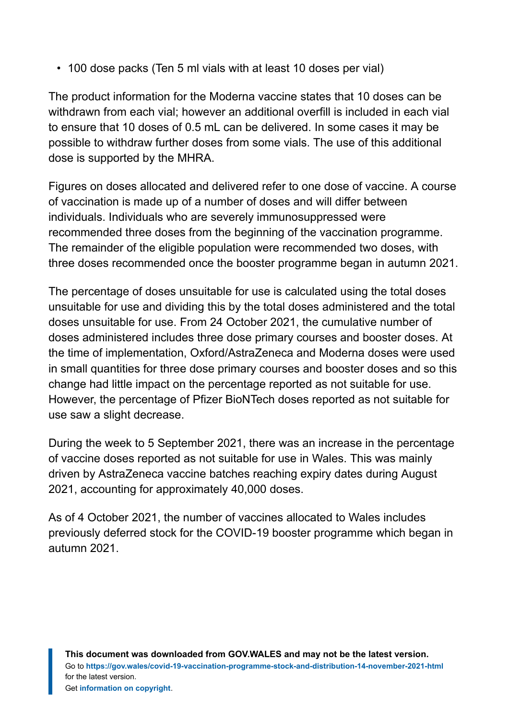• 100 dose packs (Ten 5 ml vials with at least 10 doses per vial)

The product information for the Moderna vaccine states that 10 doses can be withdrawn from each vial; however an additional overfill is included in each vial to ensure that 10 doses of 0.5 mL can be delivered. In some cases it may be possible to withdraw further doses from some vials. The use of this additional dose is supported by the MHRA.

Figures on doses allocated and delivered refer to one dose of vaccine. A course of vaccination is made up of a number of doses and will differ between individuals. Individuals who are severely immunosuppressed were recommended three doses from the beginning of the vaccination programme. The remainder of the eligible population were recommended two doses, with three doses recommended once the booster programme began in autumn 2021.

The percentage of doses unsuitable for use is calculated using the total doses unsuitable for use and dividing this by the total doses administered and the total doses unsuitable for use. From 24 October 2021, the cumulative number of doses administered includes three dose primary courses and booster doses. At the time of implementation, Oxford/AstraZeneca and Moderna doses were used in small quantities for three dose primary courses and booster doses and so this change had little impact on the percentage reported as not suitable for use. However, the percentage of Pfizer BioNTech doses reported as not suitable for use saw a slight decrease.

During the week to 5 September 2021, there was an increase in the percentage of vaccine doses reported as not suitable for use in Wales. This was mainly driven by AstraZeneca vaccine batches reaching expiry dates during August 2021, accounting for approximately 40,000 doses.

As of 4 October 2021, the number of vaccines allocated to Wales includes previously deferred stock for the COVID-19 booster programme which began in autumn 2021.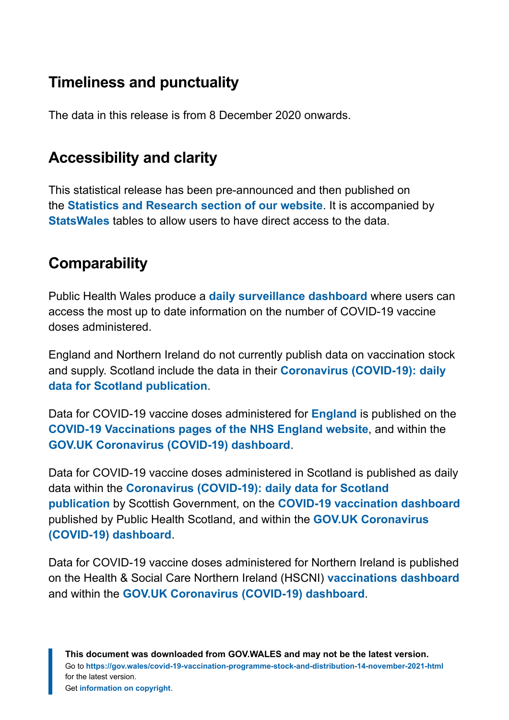#### **Timeliness and punctuality**

The data in this release is from 8 December 2020 onwards.

#### **Accessibility and clarity**

This statistical release has been pre-announced and then published on the **[Statistics and Research section of our website](https://gov.wales/statistics-and-research)**. It is accompanied by **[StatsWales](https://statswales.gov.wales/Catalogue/Health-and-Social-Care/coronavirus-covid-19/covid-19-vaccination-programme-stock-and-distribution)** tables to allow users to have direct access to the data.

#### **Comparability**

Public Health Wales produce a **[daily surveillance dashboard](https://public.tableau.com/profile/public.health.wales.health.protection#!/vizhome/RapidCOVID-19virology-Public/Headlinesummary)** where users can access the most up to date information on the number of COVID-19 vaccine doses administered.

England and Northern Ireland do not currently publish data on vaccination stock and supply. Scotland include the data in their **[Coronavirus \(COVID-19\): daily](https://www.gov.scot/publications/coronavirus-covid-19-daily-data-for-scotland/) [data for Scotland publication](https://www.gov.scot/publications/coronavirus-covid-19-daily-data-for-scotland/)**.

Data for COVID-19 vaccine doses administered for **[England](https://www.ons.gov.uk/peoplepopulationandcommunity/birthsdeathsandmarriages/deaths/datasets/numberofdeathsincarehomesnotifiedtothecarequalitycommissionengland)** is published on the **[COVID-19 Vaccinations pages of the NHS England website](https://www.england.nhs.uk/statistics/statistical-work-areas/covid-19-vaccinations/)**, and within the **[GOV.UK Coronavirus \(COVID-19\) dashboard](https://coronavirus.data.gov.uk/)**.

Data for COVID-19 vaccine doses administered in Scotland is published as daily data within the **[Coronavirus \(COVID-19\): daily data for Scotland](https://www.gov.scot/publications/coronavirus-covid-19-daily-data-for-scotland/) [publication](https://www.gov.scot/publications/coronavirus-covid-19-daily-data-for-scotland/)** by Scottish Government, on the **[COVID-19 vaccination dashboard](https://public.tableau.com/profile/phs.covid.19#!/vizhome/COVID-19DailyDashboard_15960160643010/Overview)** published by Public Health Scotland, and within the **[GOV.UK Coronavirus](https://coronavirus.data.gov.uk/) [\(COVID-19\) dashboard](https://coronavirus.data.gov.uk/)**.

Data for COVID-19 vaccine doses administered for Northern Ireland is published on the Health & Social Care Northern Ireland (HSCNI) **[vaccinations dashboard](https://covid-19.hscni.net/ni-covid-19-vaccinations-dashboard/)** and within the **[GOV.UK Coronavirus \(COVID-19\) dashboard](https://coronavirus.data.gov.uk/)**.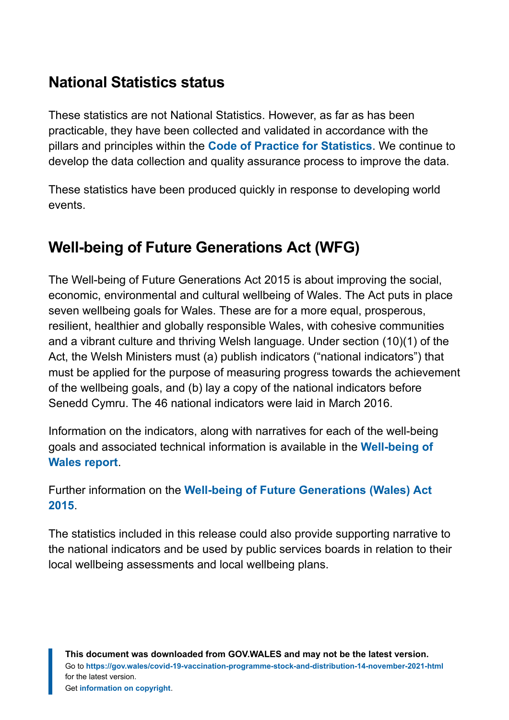#### **National Statistics status**

These statistics are not National Statistics. However, as far as has been practicable, they have been collected and validated in accordance with the pillars and principles within the **[Code of Practice for Statistics](https://code.statisticsauthority.gov.uk/)**. We continue to develop the data collection and quality assurance process to improve the data.

These statistics have been produced quickly in response to developing world events.

#### **Well-being of Future Generations Act (WFG)**

The Well-being of Future Generations Act 2015 is about improving the social, economic, environmental and cultural wellbeing of Wales. The Act puts in place seven wellbeing goals for Wales. These are for a more equal, prosperous, resilient, healthier and globally responsible Wales, with cohesive communities and a vibrant culture and thriving Welsh language. Under section (10)(1) of the Act, the Welsh Ministers must (a) publish indicators ("national indicators") that must be applied for the purpose of measuring progress towards the achievement of the wellbeing goals, and (b) lay a copy of the national indicators before Senedd Cymru. The 46 national indicators were laid in March 2016.

Information on the indicators, along with narratives for each of the well-being goals and associated technical information is available in the **[Well-being of](https://gov.wales/wellbeing-wales) [Wales report](https://gov.wales/wellbeing-wales)**.

Further information on the **[Well-being of Future Generations \(Wales\) Act](https://gov.wales/well-being-future-generations-wales-act-2015-guidance) [2015](https://gov.wales/well-being-future-generations-wales-act-2015-guidance)**.

The statistics included in this release could also provide supporting narrative to the national indicators and be used by public services boards in relation to their local wellbeing assessments and local wellbeing plans.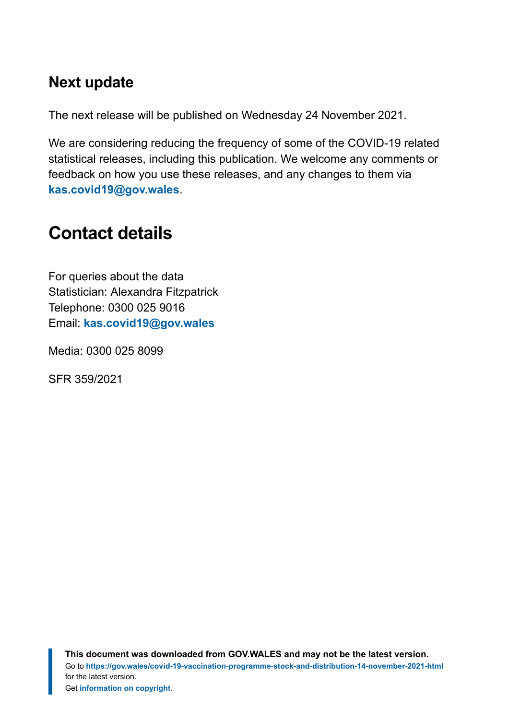#### **Next update**

The next release will be published on Wednesday 24 November 2021.

We are considering reducing the frequency of some of the COVID-19 related statistical releases, including this publication. We welcome any comments or feedback on how you use these releases, and any changes to them via **[kas.covid19@gov.wales](mailto:KAS.COVID19@gov.wales)**.

# <span id="page-9-0"></span>**Contact details**

For queries about the data Statistician: Alexandra Fitzpatrick Telephone: 0300 025 9016 Email: **[kas.covid19@gov.wales](mailto:KAS.COVID19@gov.wales)**

Media: 0300 025 8099

SFR 359/2021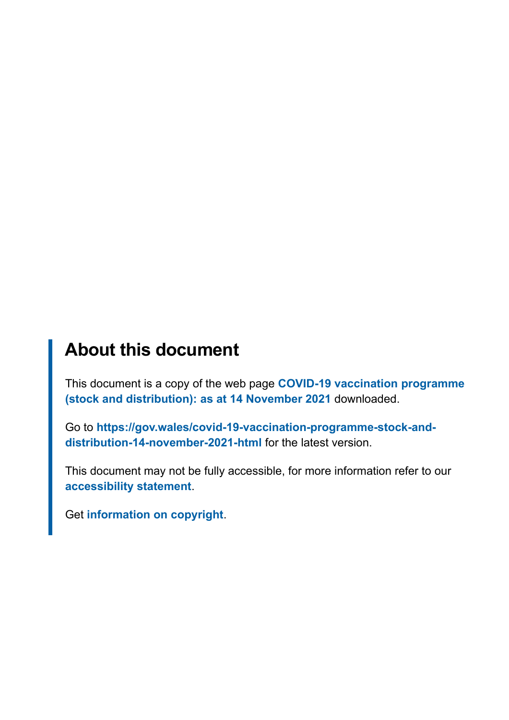#### **About this document**

This document is a copy of the web page **[COVID-19 vaccination programme](https://gov.wales/covid-19-vaccination-programme-stock-and-distribution-14-november-2021-html) [\(stock and distribution\): as at 14 November 2021](https://gov.wales/covid-19-vaccination-programme-stock-and-distribution-14-november-2021-html)** downloaded.

Go to **[https://gov.wales/covid-19-vaccination-programme-stock-and](https://gov.wales/covid-19-vaccination-programme-stock-and-distribution-14-november-2021-html)[distribution-14-november-2021-html](https://gov.wales/covid-19-vaccination-programme-stock-and-distribution-14-november-2021-html)** for the latest version.

This document may not be fully accessible, for more information refer to our **[accessibility statement](https://gov.wales/accessibility-statement-govwales)**.

Get **[information on copyright](https://gov.wales/copyright-statement)**.